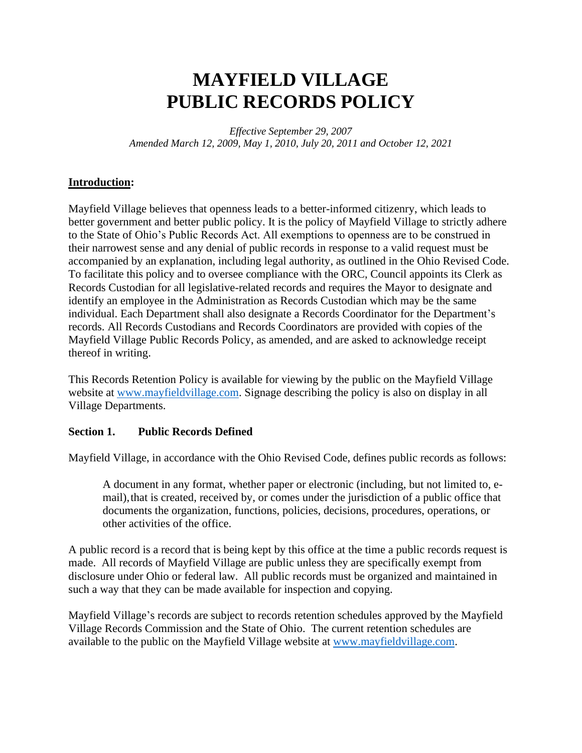# **MAYFIELD VILLAGE PUBLIC RECORDS POLICY**

*Effective September 29, 2007 Amended March 12, 2009, May 1, 2010, July 20, 2011 and October 12, 2021*

### **Introduction:**

Mayfield Village believes that openness leads to a better-informed citizenry, which leads to better government and better public policy. It is the policy of Mayfield Village to strictly adhere to the State of Ohio's Public Records Act. All exemptions to openness are to be construed in their narrowest sense and any denial of public records in response to a valid request must be accompanied by an explanation, including legal authority, as outlined in the Ohio Revised Code. To facilitate this policy and to oversee compliance with the ORC, Council appoints its Clerk as Records Custodian for all legislative-related records and requires the Mayor to designate and identify an employee in the Administration as Records Custodian which may be the same individual. Each Department shall also designate a Records Coordinator for the Department's records. All Records Custodians and Records Coordinators are provided with copies of the Mayfield Village Public Records Policy, as amended, and are asked to acknowledge receipt thereof in writing.

This Records Retention Policy is available for viewing by the public on the Mayfield Village website at [www.mayfieldvillage.com.](http://www.mayfieldvillage.com/) Signage describing the policy is also on display in all Village Departments.

#### **Section 1. Public Records Defined**

Mayfield Village, in accordance with the Ohio Revised Code, defines public records as follows:

A document in any format, whether paper or electronic (including, but not limited to, email),that is created, received by, or comes under the jurisdiction of a public office that documents the organization, functions, policies, decisions, procedures, operations, or other activities of the office.

A public record is a record that is being kept by this office at the time a public records request is made. All records of Mayfield Village are public unless they are specifically exempt from disclosure under Ohio or federal law. All public records must be organized and maintained in such a way that they can be made available for inspection and copying.

Mayfield Village's records are subject to records retention schedules approved by the Mayfield Village Records Commission and the State of Ohio. The current retention schedules are available to the public on the Mayfield Village website at [www.mayfieldvillage.com.](http://www.mayfieldvillage.com/)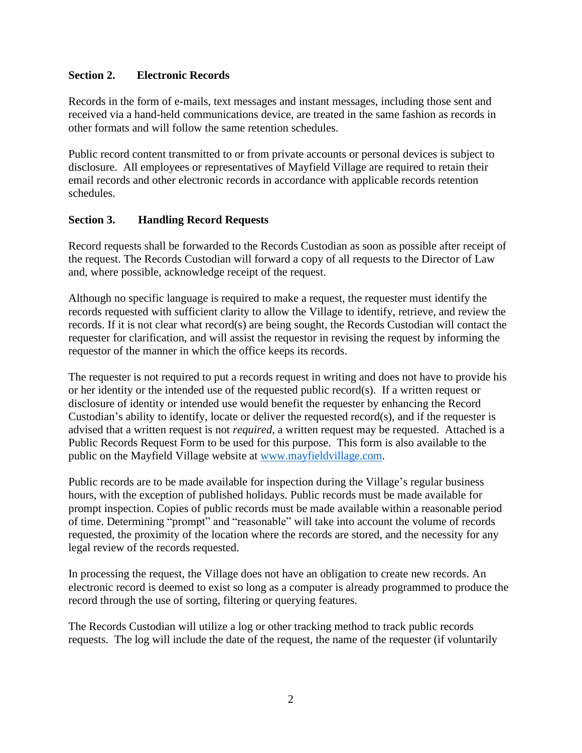## **Section 2. Electronic Records**

Records in the form of e-mails, text messages and instant messages, including those sent and received via a hand-held communications device, are treated in the same fashion as records in other formats and will follow the same retention schedules.

Public record content transmitted to or from private accounts or personal devices is subject to disclosure. All employees or representatives of Mayfield Village are required to retain their email records and other electronic records in accordance with applicable records retention schedules.

### **Section 3. Handling Record Requests**

Record requests shall be forwarded to the Records Custodian as soon as possible after receipt of the request. The Records Custodian will forward a copy of all requests to the Director of Law and, where possible, acknowledge receipt of the request.

Although no specific language is required to make a request, the requester must identify the records requested with sufficient clarity to allow the Village to identify, retrieve, and review the records. If it is not clear what record(s) are being sought, the Records Custodian will contact the requester for clarification, and will assist the requestor in revising the request by informing the requestor of the manner in which the office keeps its records.

The requester is not required to put a records request in writing and does not have to provide his or her identity or the intended use of the requested public record(s). If a written request or disclosure of identity or intended use would benefit the requester by enhancing the Record Custodian's ability to identify, locate or deliver the requested record(s), and if the requester is advised that a written request is not *required*, a written request may be requested. Attached is a Public Records Request Form to be used for this purpose. This form is also available to the public on the Mayfield Village website at [www.mayfieldvillage.com.](http://www.mayfieldvillage.com/)

Public records are to be made available for inspection during the Village's regular business hours, with the exception of published holidays. Public records must be made available for prompt inspection. Copies of public records must be made available within a reasonable period of time. Determining "prompt" and "reasonable" will take into account the volume of records requested, the proximity of the location where the records are stored, and the necessity for any legal review of the records requested.

In processing the request, the Village does not have an obligation to create new records. An electronic record is deemed to exist so long as a computer is already programmed to produce the record through the use of sorting, filtering or querying features.

The Records Custodian will utilize a log or other tracking method to track public records requests. The log will include the date of the request, the name of the requester (if voluntarily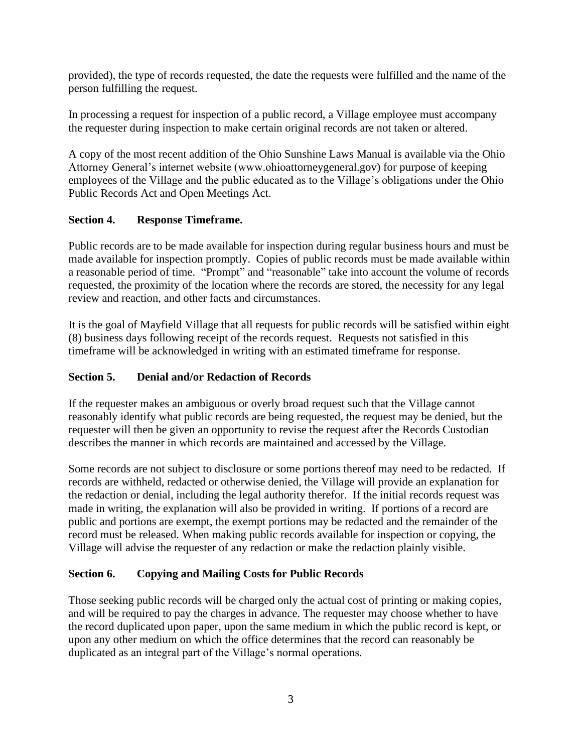provided), the type of records requested, the date the requests were fulfilled and the name of the person fulfilling the request.

In processing a request for inspection of a public record, a Village employee must accompany the requester during inspection to make certain original records are not taken or altered.

A copy of the most recent addition of the Ohio Sunshine Laws Manual is available via the Ohio Attorney General's internet website (www.ohioattorneygeneral.gov) for purpose of keeping employees of the Village and the public educated as to the Village's obligations under the Ohio Public Records Act and Open Meetings Act.

## **Section 4. Response Timeframe.**

Public records are to be made available for inspection during regular business hours and must be made available for inspection promptly. Copies of public records must be made available within a reasonable period of time. "Prompt" and "reasonable" take into account the volume of records requested, the proximity of the location where the records are stored, the necessity for any legal review and reaction, and other facts and circumstances.

It is the goal of Mayfield Village that all requests for public records will be satisfied within eight (8) business days following receipt of the records request. Requests not satisfied in this timeframe will be acknowledged in writing with an estimated timeframe for response.

## **Section 5. Denial and/or Redaction of Records**

If the requester makes an ambiguous or overly broad request such that the Village cannot reasonably identify what public records are being requested, the request may be denied, but the requester will then be given an opportunity to revise the request after the Records Custodian describes the manner in which records are maintained and accessed by the Village.

Some records are not subject to disclosure or some portions thereof may need to be redacted. If records are withheld, redacted or otherwise denied, the Village will provide an explanation for the redaction or denial, including the legal authority therefor. If the initial records request was made in writing, the explanation will also be provided in writing. If portions of a record are public and portions are exempt, the exempt portions may be redacted and the remainder of the record must be released. When making public records available for inspection or copying, the Village will advise the requester of any redaction or make the redaction plainly visible.

## **Section 6. Copying and Mailing Costs for Public Records**

Those seeking public records will be charged only the actual cost of printing or making copies, and will be required to pay the charges in advance. The requester may choose whether to have the record duplicated upon paper, upon the same medium in which the public record is kept, or upon any other medium on which the office determines that the record can reasonably be duplicated as an integral part of the Village's normal operations.